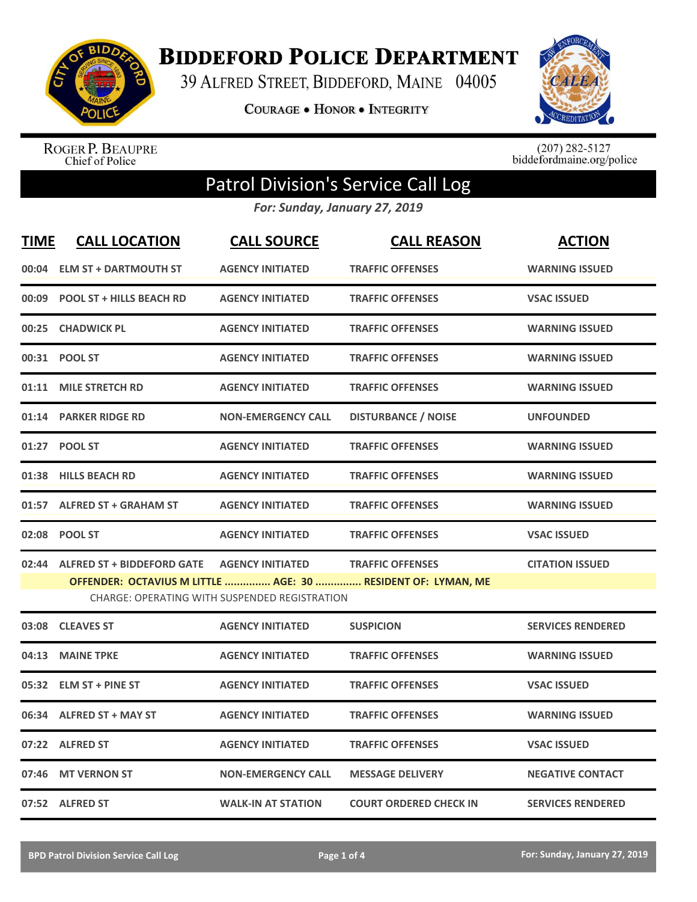

**BIDDEFORD POLICE DEPARTMENT** 

39 ALFRED STREET, BIDDEFORD, MAINE 04005

**COURAGE . HONOR . INTEGRITY** 



ROGER P. BEAUPRE<br>Chief of Police

 $(207)$  282-5127<br>biddefordmaine.org/police

## Patrol Division's Service Call Log

*For: Sunday, January 27, 2019*

| <b>TIME</b> | <b>CALL LOCATION</b>             | <b>CALL SOURCE</b>                                                       | <b>CALL REASON</b>                                                                      | <b>ACTION</b>            |
|-------------|----------------------------------|--------------------------------------------------------------------------|-----------------------------------------------------------------------------------------|--------------------------|
| 00:04       | <b>ELM ST + DARTMOUTH ST</b>     | <b>AGENCY INITIATED</b>                                                  | <b>TRAFFIC OFFENSES</b>                                                                 | <b>WARNING ISSUED</b>    |
| 00:09       | <b>POOL ST + HILLS BEACH RD</b>  | <b>AGENCY INITIATED</b>                                                  | <b>TRAFFIC OFFENSES</b>                                                                 | <b>VSAC ISSUED</b>       |
| 00:25       | <b>CHADWICK PL</b>               | <b>AGENCY INITIATED</b>                                                  | <b>TRAFFIC OFFENSES</b>                                                                 | <b>WARNING ISSUED</b>    |
|             | 00:31 POOL ST                    | <b>AGENCY INITIATED</b>                                                  | <b>TRAFFIC OFFENSES</b>                                                                 | <b>WARNING ISSUED</b>    |
| 01:11       | <b>MILE STRETCH RD</b>           | <b>AGENCY INITIATED</b>                                                  | <b>TRAFFIC OFFENSES</b>                                                                 | <b>WARNING ISSUED</b>    |
|             | 01:14 PARKER RIDGE RD            | <b>NON-EMERGENCY CALL</b>                                                | <b>DISTURBANCE / NOISE</b>                                                              | <b>UNFOUNDED</b>         |
|             | 01:27 POOL ST                    | <b>AGENCY INITIATED</b>                                                  | <b>TRAFFIC OFFENSES</b>                                                                 | <b>WARNING ISSUED</b>    |
|             | 01:38 HILLS BEACH RD             | <b>AGENCY INITIATED</b>                                                  | <b>TRAFFIC OFFENSES</b>                                                                 | <b>WARNING ISSUED</b>    |
|             | 01:57 ALFRED ST + GRAHAM ST      | <b>AGENCY INITIATED</b>                                                  | <b>TRAFFIC OFFENSES</b>                                                                 | <b>WARNING ISSUED</b>    |
|             | 02:08 POOL ST                    | <b>AGENCY INITIATED</b>                                                  | <b>TRAFFIC OFFENSES</b>                                                                 | <b>VSAC ISSUED</b>       |
|             | 02:44 ALFRED ST + BIDDEFORD GATE | <b>AGENCY INITIATED</b><br>CHARGE: OPERATING WITH SUSPENDED REGISTRATION | <b>TRAFFIC OFFENSES</b><br>OFFENDER: OCTAVIUS M LITTLE  AGE: 30  RESIDENT OF: LYMAN, ME | <b>CITATION ISSUED</b>   |
|             | 03:08 CLEAVES ST                 | <b>AGENCY INITIATED</b>                                                  | <b>SUSPICION</b>                                                                        | <b>SERVICES RENDERED</b> |
| 04:13       | <b>MAINE TPKE</b>                | <b>AGENCY INITIATED</b>                                                  | <b>TRAFFIC OFFENSES</b>                                                                 | <b>WARNING ISSUED</b>    |
| 05:32       | <b>ELM ST + PINE ST</b>          | <b>AGENCY INITIATED</b>                                                  | <b>TRAFFIC OFFENSES</b>                                                                 | <b>VSAC ISSUED</b>       |
|             | 06:34 ALFRED ST + MAY ST         | <b>AGENCY INITIATED</b>                                                  | <b>TRAFFIC OFFENSES</b>                                                                 | <b>WARNING ISSUED</b>    |
|             | 07:22 ALFRED ST                  | <b>AGENCY INITIATED</b>                                                  | <b>TRAFFIC OFFENSES</b>                                                                 | <b>VSAC ISSUED</b>       |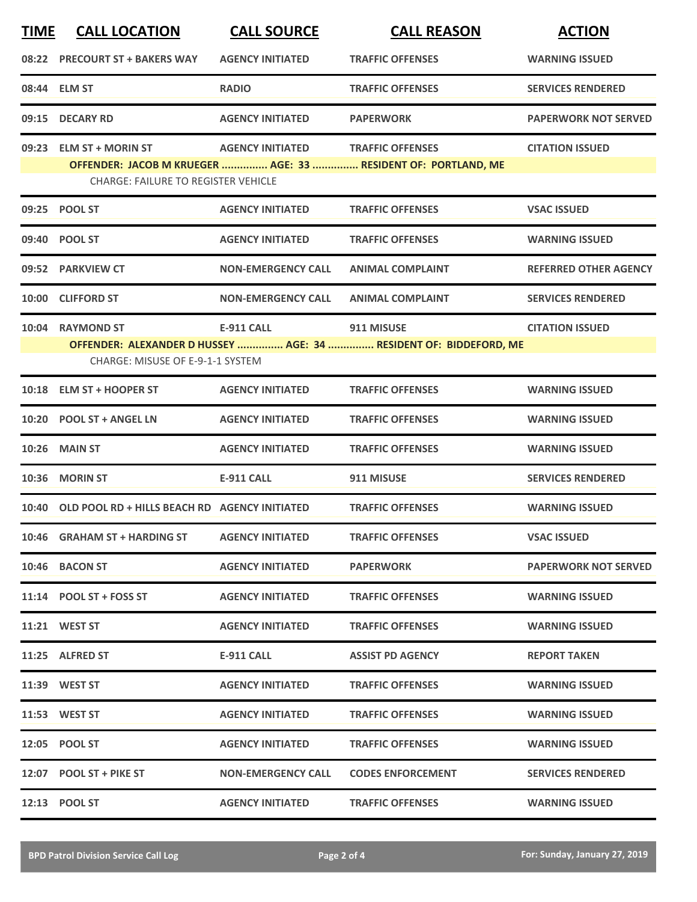| <b>TIME</b> | <b>CALL LOCATION</b>                                | <b>CALL SOURCE</b>        | <b>CALL REASON</b>                                                | <b>ACTION</b>                |
|-------------|-----------------------------------------------------|---------------------------|-------------------------------------------------------------------|------------------------------|
|             | 08:22 PRECOURT ST + BAKERS WAY                      | <b>AGENCY INITIATED</b>   | <b>TRAFFIC OFFENSES</b>                                           | <b>WARNING ISSUED</b>        |
|             | 08:44 ELM ST                                        | <b>RADIO</b>              | <b>TRAFFIC OFFENSES</b>                                           | <b>SERVICES RENDERED</b>     |
| 09:15       | <b>DECARY RD</b>                                    | <b>AGENCY INITIATED</b>   | <b>PAPERWORK</b>                                                  | <b>PAPERWORK NOT SERVED</b>  |
|             | 09:23 ELM ST + MORIN ST                             | <b>AGENCY INITIATED</b>   | <b>TRAFFIC OFFENSES</b>                                           | <b>CITATION ISSUED</b>       |
|             | <b>CHARGE: FAILURE TO REGISTER VEHICLE</b>          |                           | OFFENDER: JACOB M KRUEGER  AGE: 33  RESIDENT OF: PORTLAND, ME     |                              |
|             | 09:25 POOL ST                                       | <b>AGENCY INITIATED</b>   | <b>TRAFFIC OFFENSES</b>                                           | <b>VSAC ISSUED</b>           |
|             | 09:40 POOL ST                                       | <b>AGENCY INITIATED</b>   | <b>TRAFFIC OFFENSES</b>                                           | <b>WARNING ISSUED</b>        |
|             | 09:52 PARKVIEW CT                                   | <b>NON-EMERGENCY CALL</b> | <b>ANIMAL COMPLAINT</b>                                           | <b>REFERRED OTHER AGENCY</b> |
| 10:00       | <b>CLIFFORD ST</b>                                  | <b>NON-EMERGENCY CALL</b> | <b>ANIMAL COMPLAINT</b>                                           | <b>SERVICES RENDERED</b>     |
| 10:04       | <b>RAYMOND ST</b>                                   | <b>E-911 CALL</b>         | 911 MISUSE                                                        | <b>CITATION ISSUED</b>       |
|             | <b>CHARGE: MISUSE OF E-9-1-1 SYSTEM</b>             |                           | OFFENDER: ALEXANDER D HUSSEY  AGE: 34  RESIDENT OF: BIDDEFORD, ME |                              |
| 10:18       | <b>ELM ST + HOOPER ST</b>                           | <b>AGENCY INITIATED</b>   | <b>TRAFFIC OFFENSES</b>                                           | <b>WARNING ISSUED</b>        |
|             | 10:20 POOL ST + ANGEL LN                            | <b>AGENCY INITIATED</b>   | <b>TRAFFIC OFFENSES</b>                                           | <b>WARNING ISSUED</b>        |
| 10:26       | <b>MAIN ST</b>                                      | <b>AGENCY INITIATED</b>   | <b>TRAFFIC OFFENSES</b>                                           | <b>WARNING ISSUED</b>        |
|             | 10:36 MORIN ST                                      | <b>E-911 CALL</b>         | 911 MISUSE                                                        | <b>SERVICES RENDERED</b>     |
|             | 10:40 OLD POOL RD + HILLS BEACH RD AGENCY INITIATED |                           | <b>TRAFFIC OFFENSES</b>                                           | <b>WARNING ISSUED</b>        |
|             | 10:46 GRAHAM ST + HARDING ST                        | <b>AGENCY INITIATED</b>   | <b>TRAFFIC OFFENSES</b>                                           | <b>VSAC ISSUED</b>           |
|             | 10:46 BACON ST                                      | <b>AGENCY INITIATED</b>   | <b>PAPERWORK</b>                                                  | <b>PAPERWORK NOT SERVED</b>  |
|             | $11:14$ POOL ST + FOSS ST                           | <b>AGENCY INITIATED</b>   | <b>TRAFFIC OFFENSES</b>                                           | <b>WARNING ISSUED</b>        |
|             | 11:21 WEST ST                                       | <b>AGENCY INITIATED</b>   | <b>TRAFFIC OFFENSES</b>                                           | <b>WARNING ISSUED</b>        |
|             | 11:25 ALFRED ST                                     | E-911 CALL                | <b>ASSIST PD AGENCY</b>                                           | <b>REPORT TAKEN</b>          |
|             | 11:39 WEST ST                                       | <b>AGENCY INITIATED</b>   | <b>TRAFFIC OFFENSES</b>                                           | <b>WARNING ISSUED</b>        |
|             | 11:53 WEST ST                                       | <b>AGENCY INITIATED</b>   | <b>TRAFFIC OFFENSES</b>                                           | <b>WARNING ISSUED</b>        |
|             | 12:05 POOL ST                                       | <b>AGENCY INITIATED</b>   | <b>TRAFFIC OFFENSES</b>                                           | <b>WARNING ISSUED</b>        |
|             | 12:07 POOL ST + PIKE ST                             | <b>NON-EMERGENCY CALL</b> | <b>CODES ENFORCEMENT</b>                                          | <b>SERVICES RENDERED</b>     |
|             | 12:13 POOL ST                                       | <b>AGENCY INITIATED</b>   | <b>TRAFFIC OFFENSES</b>                                           | <b>WARNING ISSUED</b>        |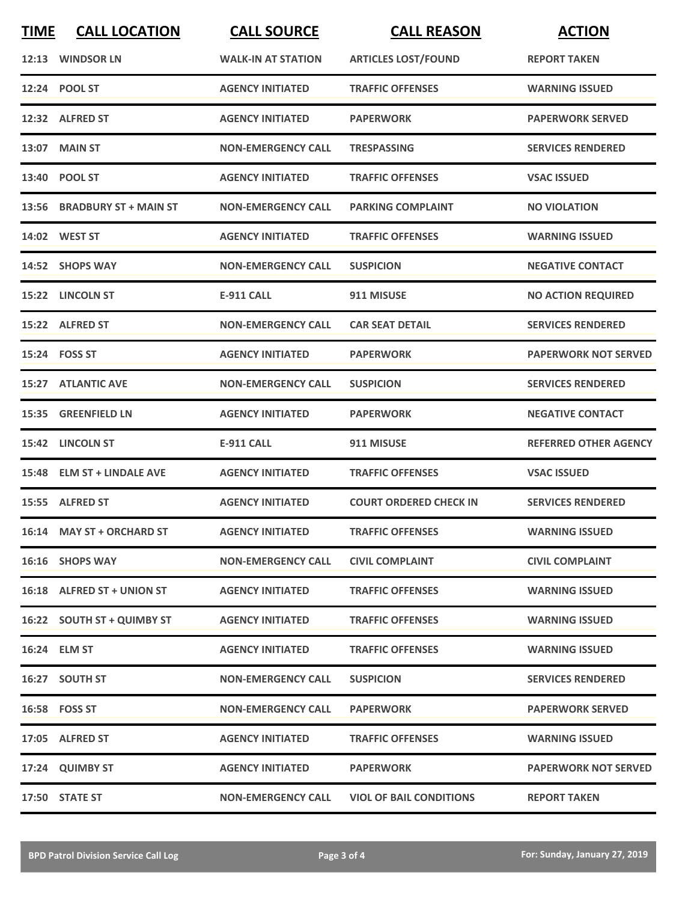| <b>TIME</b> | <b>CALL LOCATION</b>        | <b>CALL SOURCE</b>        | <b>CALL REASON</b>             | <b>ACTION</b>                |
|-------------|-----------------------------|---------------------------|--------------------------------|------------------------------|
|             | 12:13 WINDSOR LN            | <b>WALK-IN AT STATION</b> | <b>ARTICLES LOST/FOUND</b>     | <b>REPORT TAKEN</b>          |
|             | 12:24 POOL ST               | <b>AGENCY INITIATED</b>   | <b>TRAFFIC OFFENSES</b>        | <b>WARNING ISSUED</b>        |
|             | 12:32 ALFRED ST             | <b>AGENCY INITIATED</b>   | <b>PAPERWORK</b>               | <b>PAPERWORK SERVED</b>      |
|             | <b>13:07 MAIN ST</b>        | <b>NON-EMERGENCY CALL</b> | <b>TRESPASSING</b>             | <b>SERVICES RENDERED</b>     |
|             | 13:40 POOL ST               | <b>AGENCY INITIATED</b>   | <b>TRAFFIC OFFENSES</b>        | <b>VSAC ISSUED</b>           |
|             | 13:56 BRADBURY ST + MAIN ST | <b>NON-EMERGENCY CALL</b> | <b>PARKING COMPLAINT</b>       | <b>NO VIOLATION</b>          |
|             | 14:02 WEST ST               | <b>AGENCY INITIATED</b>   | <b>TRAFFIC OFFENSES</b>        | <b>WARNING ISSUED</b>        |
|             | 14:52 SHOPS WAY             | <b>NON-EMERGENCY CALL</b> | <b>SUSPICION</b>               | <b>NEGATIVE CONTACT</b>      |
|             | 15:22 LINCOLN ST            | <b>E-911 CALL</b>         | 911 MISUSE                     | <b>NO ACTION REQUIRED</b>    |
|             | 15:22 ALFRED ST             | <b>NON-EMERGENCY CALL</b> | <b>CAR SEAT DETAIL</b>         | <b>SERVICES RENDERED</b>     |
|             | 15:24 FOSS ST               | <b>AGENCY INITIATED</b>   | <b>PAPERWORK</b>               | <b>PAPERWORK NOT SERVED</b>  |
|             | <b>15:27 ATLANTIC AVE</b>   | <b>NON-EMERGENCY CALL</b> | <b>SUSPICION</b>               | <b>SERVICES RENDERED</b>     |
| 15:35       | <b>GREENFIELD LN</b>        | <b>AGENCY INITIATED</b>   | <b>PAPERWORK</b>               | <b>NEGATIVE CONTACT</b>      |
|             | 15:42 LINCOLN ST            | <b>E-911 CALL</b>         | 911 MISUSE                     | <b>REFERRED OTHER AGENCY</b> |
|             | 15:48 ELM ST + LINDALE AVE  | <b>AGENCY INITIATED</b>   | <b>TRAFFIC OFFENSES</b>        | <b>VSAC ISSUED</b>           |
|             | 15:55 ALFRED ST             | <b>AGENCY INITIATED</b>   | <b>COURT ORDERED CHECK IN</b>  | <b>SERVICES RENDERED</b>     |
|             | 16:14 MAY ST + ORCHARD ST   | <b>AGENCY INITIATED</b>   | <b>TRAFFIC OFFENSES</b>        | <b>WARNING ISSUED</b>        |
|             | 16:16 SHOPS WAY             | <b>NON-EMERGENCY CALL</b> | <b>CIVIL COMPLAINT</b>         | <b>CIVIL COMPLAINT</b>       |
|             | 16:18 ALFRED ST + UNION ST  | <b>AGENCY INITIATED</b>   | <b>TRAFFIC OFFENSES</b>        | <b>WARNING ISSUED</b>        |
|             | 16:22 SOUTH ST + QUIMBY ST  | <b>AGENCY INITIATED</b>   | <b>TRAFFIC OFFENSES</b>        | <b>WARNING ISSUED</b>        |
|             | 16:24 ELM ST                | <b>AGENCY INITIATED</b>   | <b>TRAFFIC OFFENSES</b>        | <b>WARNING ISSUED</b>        |
|             | 16:27 SOUTH ST              | <b>NON-EMERGENCY CALL</b> | <b>SUSPICION</b>               | <b>SERVICES RENDERED</b>     |
|             | 16:58 FOSS ST               | <b>NON-EMERGENCY CALL</b> | <b>PAPERWORK</b>               | <b>PAPERWORK SERVED</b>      |
|             | 17:05 ALFRED ST             | <b>AGENCY INITIATED</b>   | <b>TRAFFIC OFFENSES</b>        | <b>WARNING ISSUED</b>        |
|             | 17:24 QUIMBY ST             | <b>AGENCY INITIATED</b>   | <b>PAPERWORK</b>               | <b>PAPERWORK NOT SERVED</b>  |
|             | 17:50 STATE ST              | <b>NON-EMERGENCY CALL</b> | <b>VIOL OF BAIL CONDITIONS</b> | <b>REPORT TAKEN</b>          |